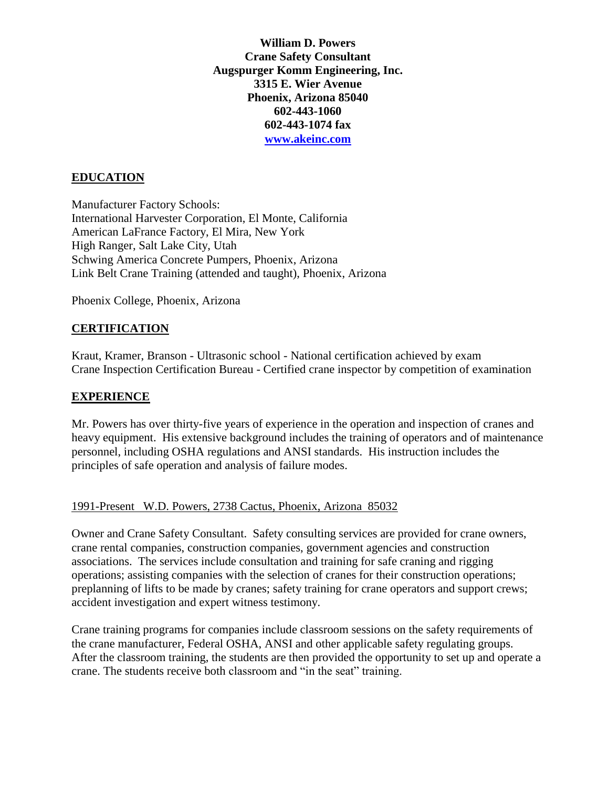**William D. Powers Crane Safety Consultant Augspurger Komm Engineering, Inc. 3315 E. Wier Avenue Phoenix, Arizona 85040 602-443-1060 602-443-1074 fax [www.akeinc.com](http://www.akeinc.com/)**

# **EDUCATION**

Manufacturer Factory Schools: International Harvester Corporation, El Monte, California American LaFrance Factory, El Mira, New York High Ranger, Salt Lake City, Utah Schwing America Concrete Pumpers, Phoenix, Arizona Link Belt Crane Training (attended and taught), Phoenix, Arizona

Phoenix College, Phoenix, Arizona

### **CERTIFICATION**

Kraut, Kramer, Branson - Ultrasonic school - National certification achieved by exam Crane Inspection Certification Bureau - Certified crane inspector by competition of examination

### **EXPERIENCE**

Mr. Powers has over thirty-five years of experience in the operation and inspection of cranes and heavy equipment. His extensive background includes the training of operators and of maintenance personnel, including OSHA regulations and ANSI standards. His instruction includes the principles of safe operation and analysis of failure modes.

### 1991-Present W.D. Powers, 2738 Cactus, Phoenix, Arizona 85032

Owner and Crane Safety Consultant. Safety consulting services are provided for crane owners, crane rental companies, construction companies, government agencies and construction associations. The services include consultation and training for safe craning and rigging operations; assisting companies with the selection of cranes for their construction operations; preplanning of lifts to be made by cranes; safety training for crane operators and support crews; accident investigation and expert witness testimony.

Crane training programs for companies include classroom sessions on the safety requirements of the crane manufacturer, Federal OSHA, ANSI and other applicable safety regulating groups. After the classroom training, the students are then provided the opportunity to set up and operate a crane. The students receive both classroom and "in the seat" training.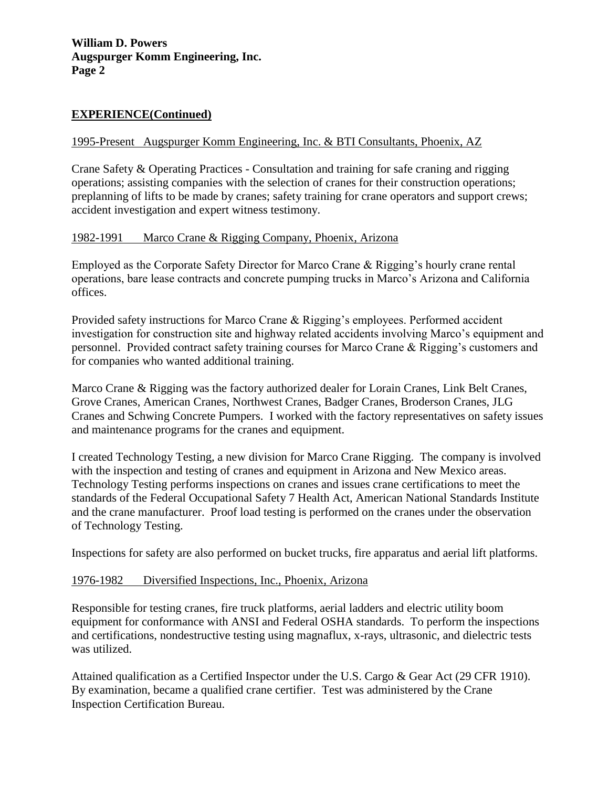# **EXPERIENCE(Continued)**

## 1995-Present Augspurger Komm Engineering, Inc. & BTI Consultants, Phoenix, AZ

Crane Safety & Operating Practices - Consultation and training for safe craning and rigging operations; assisting companies with the selection of cranes for their construction operations; preplanning of lifts to be made by cranes; safety training for crane operators and support crews; accident investigation and expert witness testimony.

## 1982-1991 Marco Crane & Rigging Company, Phoenix, Arizona

Employed as the Corporate Safety Director for Marco Crane & Rigging's hourly crane rental operations, bare lease contracts and concrete pumping trucks in Marco's Arizona and California offices.

Provided safety instructions for Marco Crane & Rigging's employees. Performed accident investigation for construction site and highway related accidents involving Marco's equipment and personnel. Provided contract safety training courses for Marco Crane & Rigging's customers and for companies who wanted additional training.

Marco Crane & Rigging was the factory authorized dealer for Lorain Cranes, Link Belt Cranes, Grove Cranes, American Cranes, Northwest Cranes, Badger Cranes, Broderson Cranes, JLG Cranes and Schwing Concrete Pumpers. I worked with the factory representatives on safety issues and maintenance programs for the cranes and equipment.

I created Technology Testing, a new division for Marco Crane Rigging. The company is involved with the inspection and testing of cranes and equipment in Arizona and New Mexico areas. Technology Testing performs inspections on cranes and issues crane certifications to meet the standards of the Federal Occupational Safety 7 Health Act, American National Standards Institute and the crane manufacturer. Proof load testing is performed on the cranes under the observation of Technology Testing.

Inspections for safety are also performed on bucket trucks, fire apparatus and aerial lift platforms.

### 1976-1982 Diversified Inspections, Inc., Phoenix, Arizona

Responsible for testing cranes, fire truck platforms, aerial ladders and electric utility boom equipment for conformance with ANSI and Federal OSHA standards. To perform the inspections and certifications, nondestructive testing using magnaflux, x-rays, ultrasonic, and dielectric tests was utilized.

Attained qualification as a Certified Inspector under the U.S. Cargo & Gear Act (29 CFR 1910). By examination, became a qualified crane certifier. Test was administered by the Crane Inspection Certification Bureau.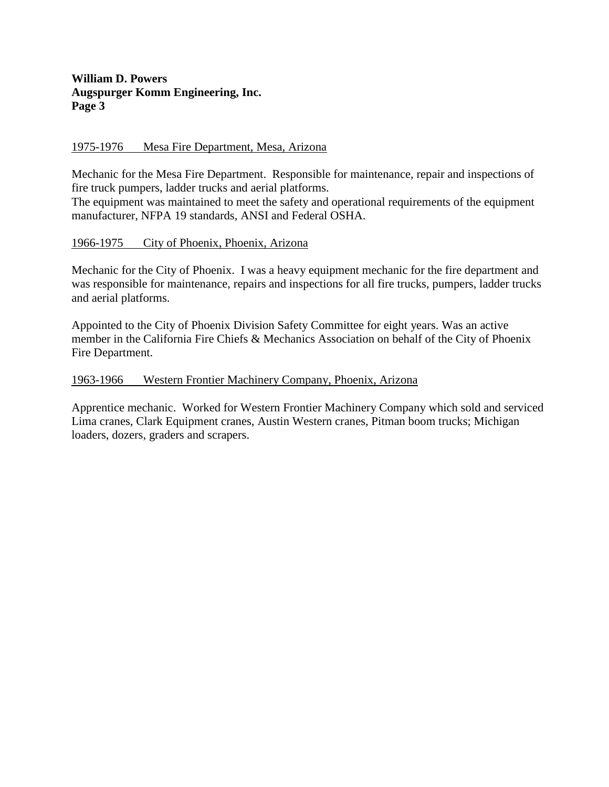## **William D. Powers Augspurger Komm Engineering, Inc. Page 3**

## 1975-1976 Mesa Fire Department, Mesa, Arizona

Mechanic for the Mesa Fire Department. Responsible for maintenance, repair and inspections of fire truck pumpers, ladder trucks and aerial platforms.

The equipment was maintained to meet the safety and operational requirements of the equipment manufacturer, NFPA 19 standards, ANSI and Federal OSHA.

### 1966-1975 City of Phoenix, Phoenix, Arizona

Mechanic for the City of Phoenix. I was a heavy equipment mechanic for the fire department and was responsible for maintenance, repairs and inspections for all fire trucks, pumpers, ladder trucks and aerial platforms.

Appointed to the City of Phoenix Division Safety Committee for eight years. Was an active member in the California Fire Chiefs & Mechanics Association on behalf of the City of Phoenix Fire Department.

#### 1963-1966 Western Frontier Machinery Company, Phoenix, Arizona

Apprentice mechanic. Worked for Western Frontier Machinery Company which sold and serviced Lima cranes, Clark Equipment cranes, Austin Western cranes, Pitman boom trucks; Michigan loaders, dozers, graders and scrapers.